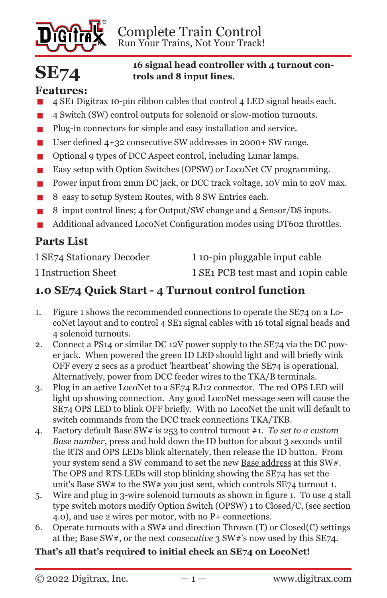

# **SE74**

#### **16 signal head controller with 4 turnout controls and 8 input lines.**

# **Features:**

- **■** 4 SE1 Digitrax 10-pin ribbon cables that control 4 LED signal heads each.<br>■ 4 Switch (SW) control outputs for solenoid or slow-motion turnouts
- **■** 4 Switch (SW) control outputs for solenoid or slow-motion turnouts.<br>■ Plug-in connectors for simple and easy installation and service
- **■** Plug-in connectors for simple and easy installation and service.<br>■ User defined 4+32 consecutive SW addresses in 2000+ SW range
- User defined 4+32 consecutive SW addresses in 2000+ SW range.<br>■ Optional 9 types of DCC Aspect control, including Lunar lamps.
- **■** Optional 9 types of DCC Aspect control, including Lunar lamps.<br>■ Easy setup with Option Switches (OPSW) or LocoNet CV progra
- **■** Easy setup with Option Switches (OPSW) or LocoNet CV programming.<br>■ Power input from 2mm DC iack, or DCC track voltage. 10V min to 20V n
- **■** Power input from 2mm DC jack, or DCC track voltage, 10V min to 20V max.<br>■ 8 easy to setup System Routes, with 8 SW Entries each.
- **■** 8 easy to setup System Routes, with 8 SW Entries each.<br>■ 8 input control lines: 4 for Output/SW change and 4 Set
- **▪** 8 input control lines; 4 for Output/SW change and 4 Sensor/DS inputs.
- Additional advanced LocoNet Configuration modes using DT602 throttles.

# **Parts List**

1 SE74 Stationary Decoder 1 10-pin pluggable input cable

1 Instruction Sheet 1 SE1 PCB test mast and 10pin cable

# **1.0 SE74 Quick Start - 4 Turnout control function**

- 1. Figure 1 shows the recommended connections to operate the SE74 on a LocoNet layout and to control 4 SE1 signal cables with 16 total signal heads and 4 solenoid turnouts.
- 2. Connect a PS14 or similar DC 12V power supply to the SE74 via the DC power jack. When powered the green ID LED should light and will briefly wink OFF every 2 secs as a product 'heartbeat' showing the SE74 is operational. Alternatively, power from DCC feeder wires to the TKA/B terminals.
- 3. Plug in an active LocoNet to a SE74 RJ12 connector. The red OPS LED will light up showing connection. Any good LocoNet message seen will cause the SE74 OPS LED to blink OFF briefly. With no LocoNet the unit will default to switch commands from the DCC track connections TKA/TKB.
- 4. Factory default Base SW# is 253 to control turnout #1. *To set to a custom Base number*, press and hold down the ID button for about 3 seconds until the RTS and OPS LEDs blink alternately, then release the ID button. From your system send a SW command to set the new Base address at this SW#. The OPS and RTS LEDs will stop blinking showing the SE74 has set the unit's Base SW# to the SW# you just sent, which controls SE74 turnout 1.
- 5. Wire and plug in 3-wire solenoid turnouts as shown in figure 1. To use 4 stall type switch motors modify Option Switch (OPSW) 1 to Closed/C, (see section 4.0), and use 2 wires per motor, with no P+ connections.
- 6. Operate turnouts with a SW# and direction Thrown  $(T)$  or Closed $(C)$  settings at the; Base SW#, or the next *consecutive* 3 SW#'s now used by this SE74.

## **That's all that's required to initial check an SE74 on LocoNet!**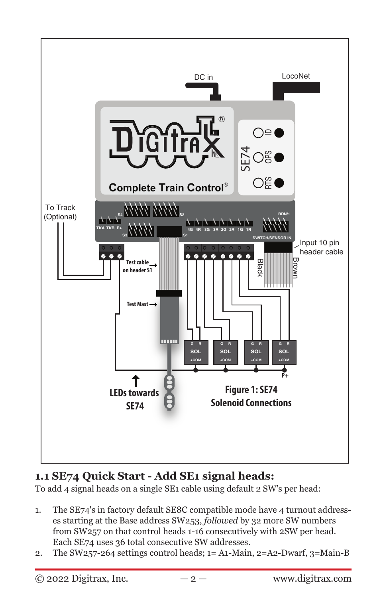

# **1.1 SE74 Quick Start - Add SE1 signal heads:**

To add 4 signal heads on a single SE1 cable using default 2 SW's per head:

- 1. The SE74's in factory default SE8C compatible mode have 4 turnout addresses starting at the Base address SW253, *followed* by 32 more SW numbers from SW257 on that control heads 1-16 consecutively with 2SW per head. Each SE74 uses 36 total consecutive SW addresses.
- 2. The SW257-264 settings control heads; 1= A1-Main, 2=A2-Dwarf, 3=Main-B

 $\odot$  2022 Digitrax, Inc.  $-2 -$  www.digitrax.com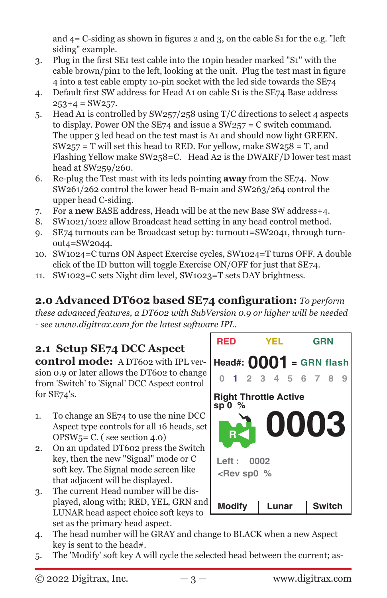and 4= C-siding as shown in figures 2 and 3, on the cable S1 for the e.g. "left siding" example.

- 3. Plug in the first SE1 test cable into the 10pin header marked "S1" with the cable brown/pin1 to the left, looking at the unit. Plug the test mast in figure 4 into a test cable empty 10-pin socket with the led side towards the SE74
- 4. Default first SW address for Head A1 on cable S1 is the SE74 Base address  $253+4 = SW257.$
- 5. Head A1 is controlled by SW257/258 using T/C directions to select 4 aspects to display. Power ON the SE74 and issue a SW257 = C switch command. The upper 3 led head on the test mast is A1 and should now light GREEN.  $SW257 = T$  will set this head to RED. For yellow, make  $SW258 = T$ , and Flashing Yellow make SW258=C. Head A2 is the DWARF/D lower test mast head at SW259/260.
- 6. Re-plug the Test mast with its leds pointing **away** from the SE74. Now SW261/262 control the lower head B-main and SW263/264 control the upper head C-siding.
- 7. For a **new** BASE address, Head1 will be at the new Base SW address+4.
- 8. SW1021/1022 allow Broadcast head setting in any head control method.
- 9. SE74 turnouts can be Broadcast setup by: turnout1=SW2041, through turnout4=SW2044.
- 10. SW1024=C turns ON Aspect Exercise cycles, SW1024=T turns OFF. A double click of the ID button will toggle Exercise ON/OFF for just that SE74.
- 11. SW1023=C sets Night dim level, SW1023=T sets DAY brightness.

**2.0 Advanced DT602 based SE74 configuration:** *To perform* 

*these advanced features, a DT602 with SubVersion 0.9 or higher will be needed - see www.digitrax.com for the latest software IPL.*

#### **2.1 Setup SE74 DCC Aspect control mode:** A DT602 with IPL version 0.9 or later allows the DT602 to change from 'Switch' to 'Signal' DCC Aspect control for SE74's.

- 1. To change an SE74 to use the nine DCC Aspect type controls for all 16 heads, set OPSW5= C. ( see section 4.0)
- 2. On an updated DT602 press the Switch key, then the new "Signal" mode or C soft key. The Signal mode screen like that adjacent will be displayed.
- 3. The current Head number will be displayed, along with; RED, YEL, GRN and LUNAR head aspect choice soft keys to set as the primary head aspect.



- 4. The head number will be GRAY and change to BLACK when a new Aspect key is sent to the head#.
- 5. The 'Modify' soft key A will cycle the selected head between the current; as-

 $\degree$  2022 Digitrax, Inc.  $-3 -$  www.digitrax.com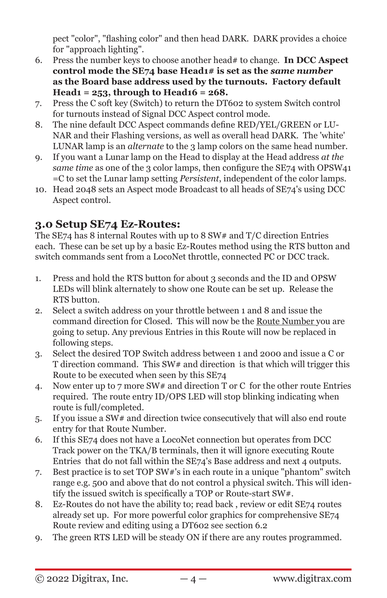pect "color", "flashing color" and then head DARK. DARK provides a choice for "approach lighting".

- 6. Press the number keys to choose another head# to change. **In DCC Aspect control mode the SE74 base Head1# is set as the** *same number* **as the Board base address used by the turnouts. Factory default Head1 = 253, through to Head16 = 268.**
- 7. Press the C soft key (Switch) to return the DT602 to system Switch control for turnouts instead of Signal DCC Aspect control mode.
- 8. The nine default DCC Aspect commands define RED/YEL/GREEN or LU-NAR and their Flashing versions, as well as overall head DARK. The 'white' LUNAR lamp is an *alternate* to the 3 lamp colors on the same head number.
- 9. If you want a Lunar lamp on the Head to display at the Head address *at the same time* as one of the 3 color lamps, then configure the SE74 with OPSW41 =C to set the Lunar lamp setting *Persistent*, independent of the color lamps.
- 10. Head 2048 sets an Aspect mode Broadcast to all heads of SE74's using DCC Aspect control.

# **3.0 Setup SE74 Ez-Routes:**

The SE74 has 8 internal Routes with up to 8 SW# and T/C direction Entries each. These can be set up by a basic Ez-Routes method using the RTS button and switch commands sent from a LocoNet throttle, connected PC or DCC track.

- 1. Press and hold the RTS button for about 3 seconds and the ID and OPSW LEDs will blink alternately to show one Route can be set up. Release the RTS button.
- 2. Select a switch address on your throttle between 1 and 8 and issue the command direction for Closed. This will now be the Route Number you are going to setup. Any previous Entries in this Route will now be replaced in following steps.
- 3. Select the desired TOP Switch address between 1 and 2000 and issue a C or T direction command. This SW# and direction is that which will trigger this Route to be executed when seen by this SE74
- 4. Now enter up to 7 more SW# and direction T or C for the other route Entries required. The route entry ID/OPS LED will stop blinking indicating when route is full/completed.
- 5. If you issue a SW# and direction twice consecutively that will also end route entry for that Route Number.
- 6. If this SE74 does not have a LocoNet connection but operates from DCC Track power on the TKA/B terminals, then it will ignore executing Route Entries that do not fall within the SE74's Base address and next 4 outputs.
- 7. Best practice is to set TOP SW#'s in each route in a unique "phantom" switch range e.g. 500 and above that do not control a physical switch. This will identify the issued switch is specifically a TOP or Route-start SW#.
- 8. Ez-Routes do not have the ability to; read back , review or edit SE74 routes already set up. For more powerful color graphics for comprehensive SE74 Route review and editing using a DT602 see section 6.2
- 9. The green RTS LED will be steady ON if there are any routes programmed.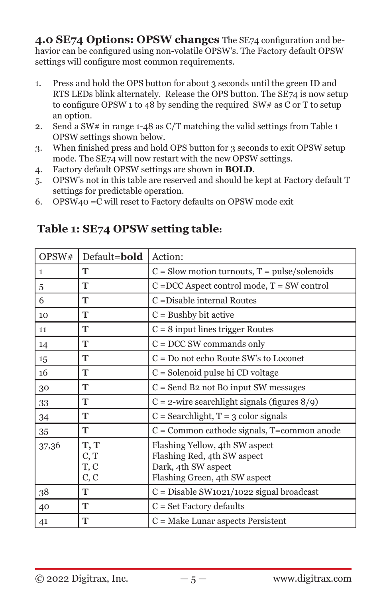**4.0 SE74 Options: OPSW changes** The SE74 configuration and behavior can be configured using non-volatile OPSW's. The Factory default OPSW settings will configure most common requirements.

- 1. Press and hold the OPS button for about 3 seconds until the green ID and RTS LEDs blink alternately. Release the OPS button. The SE74 is now setup to configure OPSW 1 to 48 by sending the required SW# as C or T to setup an option.
- 2. Send a SW# in range  $1-48$  as C/T matching the valid settings from Table 1 OPSW settings shown below.
- 3. When finished press and hold OPS button for 3 seconds to exit OPSW setup mode. The SE74 will now restart with the new OPSW settings.
- 4. Factory default OPSW settings are shown in **BOLD**.
- 5. OPSW's not in this table are reserved and should be kept at Factory default T settings for predictable operation.
- 6. OPSW40 =C will reset to Factory defaults on OPSW mode exit

| OPSW# | Default=bold                 | Action:                                                                                                               |  |
|-------|------------------------------|-----------------------------------------------------------------------------------------------------------------------|--|
| 1     | T                            | $C =$ Slow motion turnouts, $T = \text{pulse/solenoids}$                                                              |  |
| 5     | T                            | $C = DCC$ Aspect control mode, $T = SW$ control                                                                       |  |
| 6     | т                            | C = Disable internal Routes                                                                                           |  |
| 10    | т                            | $C =$ Bushby bit active                                                                                               |  |
| 11    | T                            | $C = 8$ input lines trigger Routes                                                                                    |  |
| 14    | T                            | $C = DCC$ SW commands only                                                                                            |  |
| 15    | T                            | $C = Do$ not echo Route SW's to Loconet                                                                               |  |
| 16    | T                            | $C =$ Solenoid pulse hi CD voltage                                                                                    |  |
| 30    | т                            | $C =$ Send B2 not B0 input SW messages                                                                                |  |
| 33    | Т                            | $C = 2$ -wire searchlight signals (figures 8/9)                                                                       |  |
| 34    | T                            | $C =$ Searchlight, $T = 3$ color signals                                                                              |  |
| 35    | Т                            | C = Common cathode signals, T=common anode                                                                            |  |
| 37,36 | T, T<br>C, T<br>T, C<br>C, C | Flashing Yellow, 4th SW aspect<br>Flashing Red, 4th SW aspect<br>Dark, 4th SW aspect<br>Flashing Green, 4th SW aspect |  |
| 38    | Т                            | $C = Disable SW1021/1022$ signal broadcast                                                                            |  |
| 40    | T                            | $C = Set$ Factory defaults                                                                                            |  |
| 41    | T                            | $C = Make$ Lunar aspects Persistent                                                                                   |  |

# **Table 1: SE74 OPSW setting table:**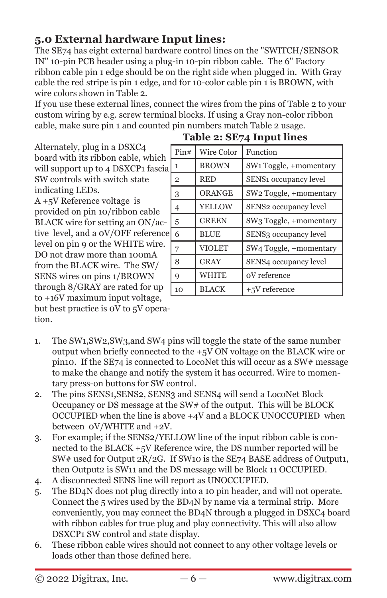# **5.0 External hardware Input lines:**

The SE74 has eight external hardware control lines on the "SWITCH/SENSOR IN" 10-pin PCB header using a plug-in 10-pin ribbon cable. The 6" Factory ribbon cable pin 1 edge should be on the right side when plugged in. With Gray cable the red stripe is pin 1 edge, and for 10-color cable pin 1 is BROWN, with wire colors shown in Table 2.

If you use these external lines, connect the wires from the pins of Table 2 to your custom wiring by e.g. screw terminal blocks. If using a Gray non-color ribbon cable, make sure pin 1 and counted pin numbers match Table 2 usage.

Alternately, plug in a DSXC4 board with its ribbon cable, which will support up to 4 DSXCP1 fascia SW controls with switch state indicating LEDs.

A +5V Reference voltage is provided on pin 10/ribbon cable BLACK wire for setting an ON/active level, and a 0V/OFF reference level on pin 9 or the WHITE wire. DO not draw more than 100mA from the BLACK wire. The SW/ SENS wires on pins 1/BROWN through 8/GRAY are rated for up to +16V maximum input voltage, but best practice is 0V to 5V opera-

tion.

| $14001$ $\leq$ $101/4$ input inity |                   |                                    |  |  |  |
|------------------------------------|-------------------|------------------------------------|--|--|--|
| Pin#                               | <b>Wire Color</b> | Function                           |  |  |  |
| $\mathbf{1}$                       | <b>BROWN</b>      | SW <sub>1</sub> Toggle, +momentary |  |  |  |
| $\overline{2}$                     | <b>RED</b>        | SENS1 occupancy level              |  |  |  |
| 3                                  | <b>ORANGE</b>     | SW2 Toggle, +momentary             |  |  |  |
| 4                                  | YELLOW            | SENS2 occupancy level              |  |  |  |
| 5                                  | <b>GREEN</b>      | SW3 Toggle, +momentary             |  |  |  |
| 6                                  | <b>BLUE</b>       | SENS3 occupancy level              |  |  |  |
| 7                                  | VIOLET            | SW4 Toggle, +momentary             |  |  |  |
| 8                                  | GRAY              | SENS4 occupancy level              |  |  |  |
| $\overline{Q}$                     | <b>WHITE</b>      | oV reference                       |  |  |  |
| 10                                 | <b>BLACK</b>      | +5V reference                      |  |  |  |

#### **Table 2: SE74 Input lines**

- 1. The SW1,SW2,SW3,and SW4 pins will toggle the state of the same number output when briefly connected to the +5V ON voltage on the BLACK wire or pin10. If the SE74 is connected to LocoNet this will occur as a SW# message to make the change and notify the system it has occurred. Wire to momentary press-on buttons for SW control.
- 2. The pins SENS1,SENS2, SENS3 and SENS4 will send a LocoNet Block Occupancy or DS message at the SW# of the output. This will be BLOCK OCCUPIED when the line is above +4V and a BLOCK UNOCCUPIED when between 0V/WHITE and +2V.
- 3. For example; if the SENS2/YELLOW line of the input ribbon cable is connected to the BLACK +5V Reference wire, the DS number reported will be SW# used for Output 2R/2G. If SW10 is the SE74 BASE address of Output1, then Output2 is SW11 and the DS message will be Block 11 OCCUPIED.
- 4. A disconnected SENS line will report as UNOCCUPIED.
- 5. The BD4N does not plug directly into a 10 pin header, and will not operate. Connect the 5 wires used by the BD4N by name via a terminal strip. More conveniently, you may connect the BD4N through a plugged in DSXC4 board with ribbon cables for true plug and play connectivity. This will also allow DSXCP1 SW control and state display.
- 6. These ribbon cable wires should not connect to any other voltage levels or loads other than those defined here.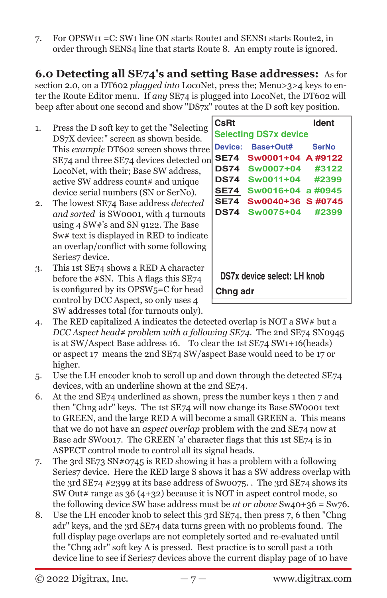7. For OPSW11 =C: SW1 line ON starts Route1 and SENS1 starts Route2, in order through SENS4 line that starts Route 8. An empty route is ignored.

**6.0 Detecting all SE74's and setting Base addresses:** As for section 2.0, on a DT602 *plugged into* LocoNet, press the; Menu>3>4 keys to enter the Route Editor menu. If *any* SE74 is plugged into LocoNet, the DT602 will beep after about one second and show "DS7x" routes at the D soft key position.

- 1. Press the D soft key to get the "Selecting DS7X device:" screen as shown beside. This *example* DT602 screen shows three SE74 and three SE74 devices detected on LocoNet, with their; Base SW address, active SW address count# and unique device serial numbers (SN or SerNo).
- 2. The lowest SE74 Base address *detected and sorted* is SW0001, with 4 turnouts using 4 SW#'s and SN 9122. The Base Sw# text is displayed in RED to indicate an overlap/conflict with some following Series7 device.
- 3. This 1st SE74 shows a RED A character before the #SN. This A flags this SE74 is configured by its OPSW5=C for head control by DCC Aspect, so only uses 4 SW addresses total (for turnouts only).

| l CsRt                       |                         | ldent |  |  |  |
|------------------------------|-------------------------|-------|--|--|--|
| <b>Selecting DS7x device</b> |                         |       |  |  |  |
|                              | Device: Base+Out# SerNo |       |  |  |  |
|                              | SE74 Sw0001+04 A #9122  |       |  |  |  |
|                              | DS74 Sw0007+04 #3122    |       |  |  |  |
|                              | DS74 Sw0011+04 #2399    |       |  |  |  |
|                              | SE74 Sw0016+04 a #0945  |       |  |  |  |
|                              | SE74 Sw0040+36 S#0745   |       |  |  |  |
|                              | DS74 Sw0075+04 #2399    |       |  |  |  |
|                              |                         |       |  |  |  |
| DS7x device select: LH knob  |                         |       |  |  |  |
| Chng adr                     |                         |       |  |  |  |

- 4. The RED capitalized A indicates the detected overlap is NOT a SW# but a *DCC Aspect head# problem with a following SE74*. The 2nd SE74 SN0945 is at SW/Aspect Base address 16. To clear the 1st SE74 SW1+16(heads) or aspect 17 means the 2nd SE74 SW/aspect Base would need to be 17 or higher.
- 5. Use the LH encoder knob to scroll up and down through the detected SE74 devices, with an underline shown at the 2nd SE74.
- 6. At the 2nd SE74 underlined as shown, press the number keys 1 then 7 and then "Chng adr" keys. The 1st SE74 will now change its Base SW0001 text to GREEN, and the large RED A will become a small GREEN a. This means that we do not have an *aspect overlap* problem with the 2nd SE74 now at Base adr SW0017. The GREEN 'a' character flags that this 1st SE74 is in ASPECT control mode to control all its signal heads.
- 7. The 3rd SE73 SN#0745 is RED showing it has a problem with a following Series7 device. Here the RED large S shows it has a SW address overlap with the 3rd SE74 #2399 at its base address of Sw0075. . The 3rd SE74 shows its SW Out# range as  $36(4+32)$  because it is NOT in aspect control mode, so the following device SW base address must be *at or above* Sw40+36 = Sw76.
- 8. Use the LH encoder knob to select this 3rd SE74, then press 7, 6 then "Chng adr" keys, and the 3rd SE74 data turns green with no problems found. The full display page overlaps are not completely sorted and re-evaluated until the "Chng adr" soft key A is pressed. Best practice is to scroll past a 10th device line to see if Series7 devices above the current display page of 10 have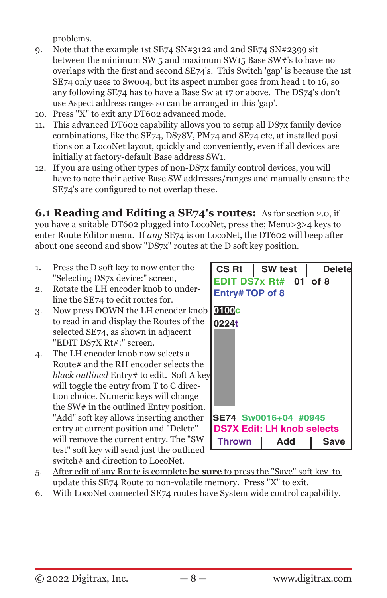problems.

- 9. Note that the example 1st SE74 SN#3122 and 2nd SE74 SN#2399 sit between the minimum SW 5 and maximum SW15 Base SW#'s to have no overlaps with the first and second SE74's. This Switch 'gap' is because the 1st SE74 only uses to Sw004, but its aspect number goes from head 1 to 16, so any following SE74 has to have a Base Sw at 17 or above. The DS74's don't use Aspect address ranges so can be arranged in this 'gap'.
- 10. Press "X" to exit any DT602 advanced mode.
- 11. This advanced DT602 capability allows you to setup all DS7x family device combinations, like the SE74, DS78V, PM74 and SE74 etc, at installed positions on a LocoNet layout, quickly and conveniently, even if all devices are initially at factory-default Base address SW1.
- 12. If you are using other types of non-DS7x family control devices, you will have to note their active Base SW addresses/ranges and manually ensure the SE74's are configured to not overlap these.

**6.1 Reading and Editing a SE74's routes:** As for section 2.0, if you have a suitable DT602 plugged into LocoNet, press the; Menu>3>4 keys to enter Route Editor menu. If *any* SE74 is on LocoNet, the DT602 will beep after about one second and show "DS7x" routes at the D soft key position.

- 1. Press the D soft key to now enter the "Selecting DS7x device:" screen,
- 2. Rotate the LH encoder knob to underline the SE74 to edit routes for.
- 3. Now press DOWN the LH encoder knob to read in and display the Routes of the selected SE74, as shown in adjacent "EDIT DS7X Rt#:" screen.
- 4. The LH encoder knob now selects a Route# and the RH encoder selects the *black outlined* Entry# to edit. Soft A key will toggle the entry from T to C direction choice. Numeric keys will change the SW# in the outlined Entry position. "Add" soft key allows inserting another entry at current position and "Delete" will remove the current entry. The "SW test" soft key will send just the outlined switch# and direction to LocoNet.

| $CS Rt$   SW test<br>Entry#TOP of 8 | EDIT DS7x Rt# 01 of 8 | <b>Deletel</b> |  |  |  |
|-------------------------------------|-----------------------|----------------|--|--|--|
| 0100 <mark>e</mark><br>0224t        |                       |                |  |  |  |
|                                     |                       |                |  |  |  |
| SE74 Sw0016+04 #0945                |                       |                |  |  |  |
| <b>DS7X Edit: LH knob selects</b>   |                       |                |  |  |  |
| <b>Thrown</b>                       | Add                   | Save           |  |  |  |

- 5. After edit of any Route is complete **be sure** to press the "Save" soft key to update this SE74 Route to non-volatile memory. Press "X" to exit.
- 6. With LocoNet connected SE74 routes have System wide control capability.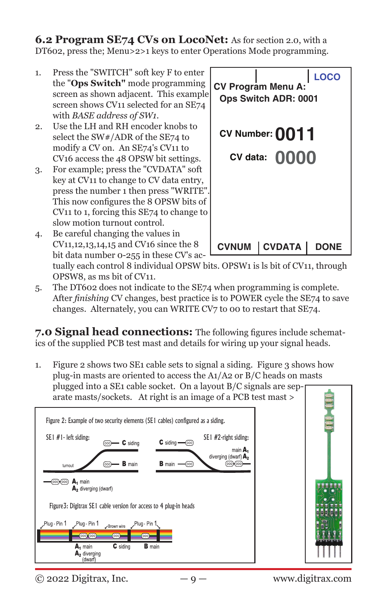**6.2 Program SE74 CVs on LocoNet:** As for section 2.0, with a DT602, press the; Menu>2>1 keys to enter Operations Mode programming.

- 1. Press the "SWITCH" soft key F to enter the "**Ops Switch"** mode programming screen as shown adjacent. This example screen shows CV11 selected for an SE74 with *BASE address of SW1*.
- 2. Use the LH and RH encoder knobs to select the SW#/ADR of the SE74 to modify a CV on. An SE74's CV11 to CV16 access the 48 OPSW bit settings.
- 3. For example; press the "CVDATA" soft key at CV11 to change to CV data entry, press the number 1 then press "WRITE". This now configures the 8 OPSW bits of CV11 to 1, forcing this SE74 to change to slow motion turnout control.
- 4. Be careful changing the values in CV11,12,13,14,15 and CV16 since the 8 bit data number 0-255 in these CV's ac-



tually each control 8 individual OPSW bits. OPSW1 is ls bit of CV11, through OPSW8, as ms bit of CV11.

5. The DT602 does not indicate to the SE74 when programming is complete. After *finishing* CV changes, best practice is to POWER cycle the SE74 to save changes. Alternately, you can WRITE CV7 to 00 to restart that SE74.

**7.0 Signal head connections:** The following figures include schematics of the supplied PCB test mast and details for wiring up your signal heads.

1. Figure 2 shows two SE1 cable sets to signal a siding. Figure 3 shows how plug-in masts are oriented to access the A1/A2 or B/C heads on masts plugged into a SE1 cable socket. On a layout B/C signals are separate masts/sockets. At right is an image of a PCB test mast >





 $\degree$  2022 Digitrax, Inc.  $-9 -$  www.digitrax.com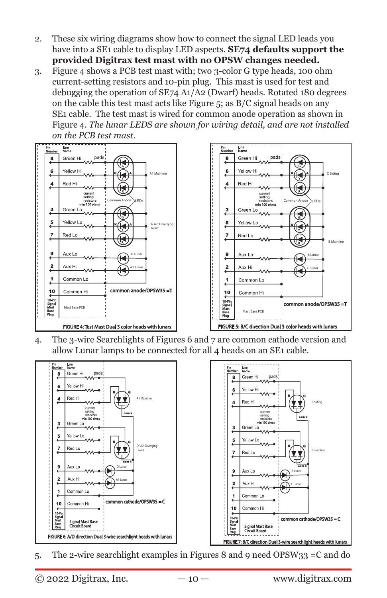- 2. These six wiring diagrams show how to connect the signal LED leads you have into a SE1 cable to display LED aspects. **SE74 defaults support the provided Digitrax test mast with no OPSW changes needed.**
- 3. Figure 4 shows a PCB test mast with; two 3-color G type heads, 100 ohm current-setting resistors and 10-pin plug. This mast is used for test and debugging the operation of SE74 A1/A2 (Dwarf) heads. Rotated 180 degrees on the cable this test mast acts like Figure 5; as B/C signal heads on any SE1 cable. The test mast is wired for common anode operation as shown in Figure 4. *The lunar LEDS are shown for wiring detail, and are not installed on the PCB test mast*.





4. The 3-wire Searchlights of Figures 6 and 7 are common cathode version and allow Lunar lamps to be connected for all 4 heads on an SE1 cable.





5. The 2-wire searchlight examples in Figures 8 and 9 need OPSW33 =C and do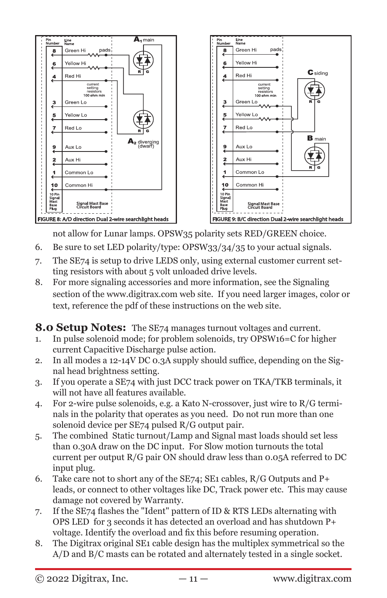

not allow for Lunar lamps. OPSW35 polarity sets RED/GREEN choice.

- 6. Be sure to set LED polarity/type: OPSW33/34/35 to your actual signals.
- 7. The SE74 is setup to drive LEDS only, using external customer current setting resistors with about 5 volt unloaded drive levels.
- 8. For more signaling accessories and more information, see the Signaling section of the www.digitrax.com web site. If you need larger images, color or text, reference the pdf of these instructions on the web site.

**8.0 Setup Notes:** The SE74 manages turnout voltages and current.

- 1. In pulse solenoid mode; for problem solenoids, try OPSW16=C for higher current Capacitive Discharge pulse action.
- 2. In all modes a 12-14V DC 0.3A supply should suffice, depending on the Signal head brightness setting.
- 3. If you operate a SE74 with just DCC track power on TKA/TKB terminals, it will not have all features available.
- 4. For 2-wire pulse solenoids, e.g. a Kato N-crossover, just wire to R/G terminals in the polarity that operates as you need. Do not run more than one solenoid device per SE74 pulsed R/G output pair.
- 5. The combined Static turnout/Lamp and Signal mast loads should set less than 0.30A draw on the DC input. For Slow motion turnouts the total current per output R/G pair ON should draw less than 0.05A referred to DC input plug.
- 6. Take care not to short any of the  $SE74$ ;  $SE1$  cables,  $R/G$  Outputs and  $P+$ leads, or connect to other voltages like DC, Track power etc. This may cause damage not covered by Warranty.
- 7. If the SE74 flashes the "Ident" pattern of ID & RTS LEDs alternating with OPS LED for 3 seconds it has detected an overload and has shutdown P+ voltage. Identify the overload and fix this before resuming operation.
- 8. The Digitrax original SE1 cable design has the multiplex symmetrical so the A/D and B/C masts can be rotated and alternately tested in a single socket.